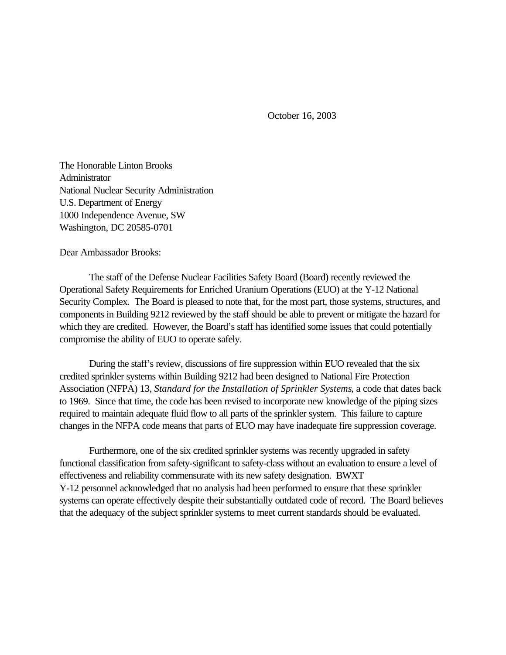October 16, 2003

The Honorable Linton Brooks Administrator National Nuclear Security Administration U.S. Department of Energy 1000 Independence Avenue, SW Washington, DC 20585-0701

Dear Ambassador Brooks:

The staff of the Defense Nuclear Facilities Safety Board (Board) recently reviewed the Operational Safety Requirements for Enriched Uranium Operations (EUO) at the Y-12 National Security Complex. The Board is pleased to note that, for the most part, those systems, structures, and components in Building 9212 reviewed by the staff should be able to prevent or mitigate the hazard for which they are credited. However, the Board's staff has identified some issues that could potentially compromise the ability of EUO to operate safely.

During the staff's review, discussions of fire suppression within EUO revealed that the six credited sprinkler systems within Building 9212 had been designed to National Fire Protection Association (NFPA) 13, *Standard for the Installation of Sprinkler Systems*, a code that dates back to 1969. Since that time, the code has been revised to incorporate new knowledge of the piping sizes required to maintain adequate fluid flow to all parts of the sprinkler system. This failure to capture changes in the NFPA code means that parts of EUO may have inadequate fire suppression coverage.

Furthermore, one of the six credited sprinkler systems was recently upgraded in safety functional classification from safety-significant to safety-class without an evaluation to ensure a level of effectiveness and reliability commensurate with its new safety designation. BWXT Y-12 personnel acknowledged that no analysis had been performed to ensure that these sprinkler systems can operate effectively despite their substantially outdated code of record. The Board believes that the adequacy of the subject sprinkler systems to meet current standards should be evaluated.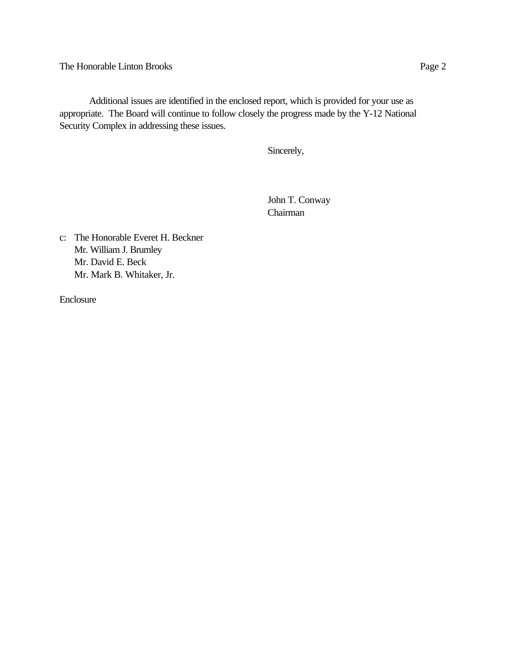The Honorable Linton Brooks Page 2

Additional issues are identified in the enclosed report, which is provided for your use as appropriate. The Board will continue to follow closely the progress made by the Y-12 National Security Complex in addressing these issues.

Sincerely,

John T. Conway Chairman

c: The Honorable Everet H. Beckner Mr. William J. Brumley Mr. David E. Beck Mr. Mark B. Whitaker, Jr.

Enclosure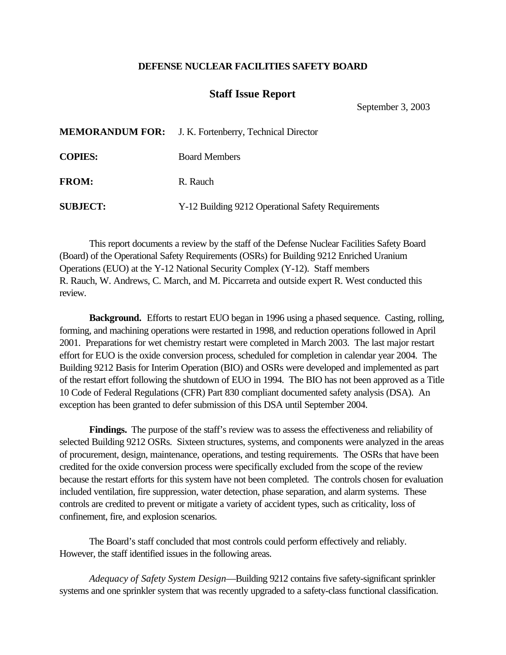## **DEFENSE NUCLEAR FACILITIES SAFETY BOARD**

## **Staff Issue Report**

September 3, 2003

|                 | <b>MEMORANDUM FOR:</b> J. K. Fortenberry, Technical Director |
|-----------------|--------------------------------------------------------------|
| <b>COPIES:</b>  | <b>Board Members</b>                                         |
| <b>FROM:</b>    | R. Rauch                                                     |
| <b>SUBJECT:</b> | Y-12 Building 9212 Operational Safety Requirements           |

This report documents a review by the staff of the Defense Nuclear Facilities Safety Board (Board) of the Operational Safety Requirements (OSRs) for Building 9212 Enriched Uranium Operations (EUO) at the Y-12 National Security Complex (Y-12). Staff members R. Rauch, W. Andrews, C. March, and M. Piccarreta and outside expert R. West conducted this review.

**Background.** Efforts to restart EUO began in 1996 using a phased sequence. Casting, rolling, forming, and machining operations were restarted in 1998, and reduction operations followed in April 2001. Preparations for wet chemistry restart were completed in March 2003. The last major restart effort for EUO is the oxide conversion process, scheduled for completion in calendar year 2004. The Building 9212 Basis for Interim Operation (BIO) and OSRs were developed and implemented as part of the restart effort following the shutdown of EUO in 1994. The BIO has not been approved as a Title 10 Code of Federal Regulations (CFR) Part 830 compliant documented safety analysis (DSA). An exception has been granted to defer submission of this DSA until September 2004.

**Findings.** The purpose of the staff's review was to assess the effectiveness and reliability of selected Building 9212 OSRs. Sixteen structures, systems, and components were analyzed in the areas of procurement, design, maintenance, operations, and testing requirements. The OSRs that have been credited for the oxide conversion process were specifically excluded from the scope of the review because the restart efforts for this system have not been completed. The controls chosen for evaluation included ventilation, fire suppression, water detection, phase separation, and alarm systems. These controls are credited to prevent or mitigate a variety of accident types, such as criticality, loss of confinement, fire, and explosion scenarios.

The Board's staff concluded that most controls could perform effectively and reliably. However, the staff identified issues in the following areas.

*Adequacy of Safety System Design*—Building 9212 contains five safety-significant sprinkler systems and one sprinkler system that was recently upgraded to a safety-class functional classification.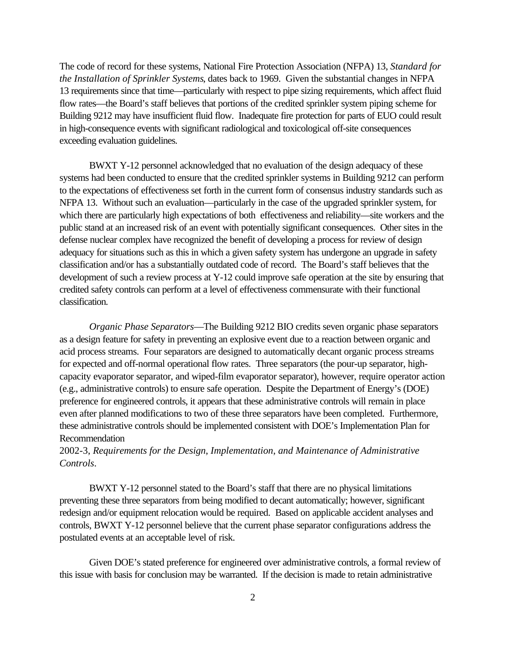The code of record for these systems, National Fire Protection Association (NFPA) 13, *Standard for the Installation of Sprinkler Systems*, dates back to 1969. Given the substantial changes in NFPA 13 requirements since that time—particularly with respect to pipe sizing requirements, which affect fluid flow rates—the Board's staff believes that portions of the credited sprinkler system piping scheme for Building 9212 may have insufficient fluid flow. Inadequate fire protection for parts of EUO could result in high-consequence events with significant radiological and toxicological off-site consequences exceeding evaluation guidelines.

BWXT Y-12 personnel acknowledged that no evaluation of the design adequacy of these systems had been conducted to ensure that the credited sprinkler systems in Building 9212 can perform to the expectations of effectiveness set forth in the current form of consensus industry standards such as NFPA 13. Without such an evaluation—particularly in the case of the upgraded sprinkler system, for which there are particularly high expectations of both effectiveness and reliability—site workers and the public stand at an increased risk of an event with potentially significant consequences. Other sites in the defense nuclear complex have recognized the benefit of developing a process for review of design adequacy for situations such as this in which a given safety system has undergone an upgrade in safety classification and/or has a substantially outdated code of record. The Board's staff believes that the development of such a review process at Y-12 could improve safe operation at the site by ensuring that credited safety controls can perform at a level of effectiveness commensurate with their functional classification.

*Organic Phase Separators*—The Building 9212 BIO credits seven organic phase separators as a design feature for safety in preventing an explosive event due to a reaction between organic and acid process streams. Four separators are designed to automatically decant organic process streams for expected and off-normal operational flow rates. Three separators (the pour-up separator, highcapacity evaporator separator, and wiped-film evaporator separator), however, require operator action (e.g., administrative controls) to ensure safe operation. Despite the Department of Energy's (DOE) preference for engineered controls, it appears that these administrative controls will remain in place even after planned modifications to two of these three separators have been completed. Furthermore, these administrative controls should be implemented consistent with DOE's Implementation Plan for Recommendation

2002-3, *Requirements for the Design*, *Implementation*, *and Maintenance of Administrative Controls*.

BWXT Y-12 personnel stated to the Board's staff that there are no physical limitations preventing these three separators from being modified to decant automatically; however, significant redesign and/or equipment relocation would be required. Based on applicable accident analyses and controls, BWXT Y-12 personnel believe that the current phase separator configurations address the postulated events at an acceptable level of risk.

Given DOE's stated preference for engineered over administrative controls, a formal review of this issue with basis for conclusion may be warranted. If the decision is made to retain administrative